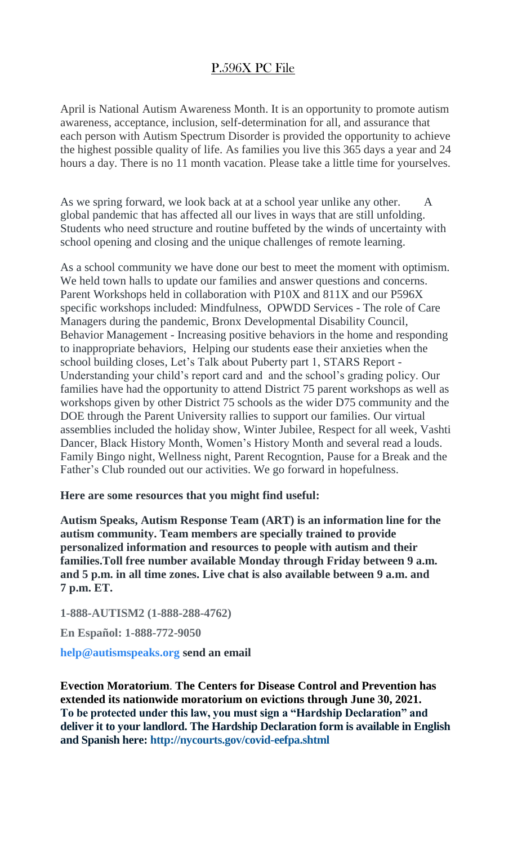## P.596X PC File

April is National Autism Awareness Month. It is an opportunity to promote autism awareness, acceptance, inclusion, self-determination for all, and assurance that each person with Autism Spectrum Disorder is provided the opportunity to achieve the highest possible quality of life. As families you live this 365 days a year and 24 hours a day. There is no 11 month vacation. Please take a little time for yourselves.

As we spring forward, we look back at at a school year unlike any other. A global pandemic that has affected all our lives in ways that are still unfolding. Students who need structure and routine buffeted by the winds of uncertainty with school opening and closing and the unique challenges of remote learning.

As a school community we have done our best to meet the moment with optimism. We held town halls to update our families and answer questions and concerns. Parent Workshops held in collaboration with P10X and 811X and our P596X specific workshops included: Mindfulness, OPWDD Services - The role of Care Managers during the pandemic, Bronx Developmental Disability Council, Behavior Management - Increasing positive behaviors in the home and responding to inappropriate behaviors, Helping our students ease their anxieties when the school building closes, Let's Talk about Puberty part 1, STARS Report - Understanding your child's report card and and the school's grading policy. Our families have had the opportunity to attend District 75 parent workshops as well as workshops given by other District 75 schools as the wider D75 community and the DOE through the Parent University rallies to support our families. Our virtual assemblies included the holiday show, Winter Jubilee, Respect for all week, Vashti Dancer, Black History Month, Women's History Month and several read a louds. Family Bingo night, Wellness night, Parent Recogntion, Pause for a Break and the Father's Club rounded out our activities. We go forward in hopefulness.

## **Here are some resources that you might find useful:**

**Autism Speaks, Autism Response Team (ART) is an information line for the autism community. Team members are specially trained to provide personalized information and resources to people with autism and their families.Toll free number available Monday through Friday between 9 a.m. and 5 p.m. in all time zones. Live chat is also available between 9 a.m. and 7 p.m. ET.**

**1-888-AUTISM2 (1-888-288-4762)**

**En Español: 1-888-772-9050**

**[help@autismspeaks.org](mailto:help@autismspeaks.org) send an email**

**Evection Moratorium**. **The Centers for Disease Control and Prevention has extended its nationwide moratorium on evictions through June 30, 2021. To be protected under this law, you must sign a "Hardship Declaration" and deliver it to your landlord. The Hardship Declaration form is available in English and Spanish here: <http://nycourts.gov/covid-eefpa.shtml>**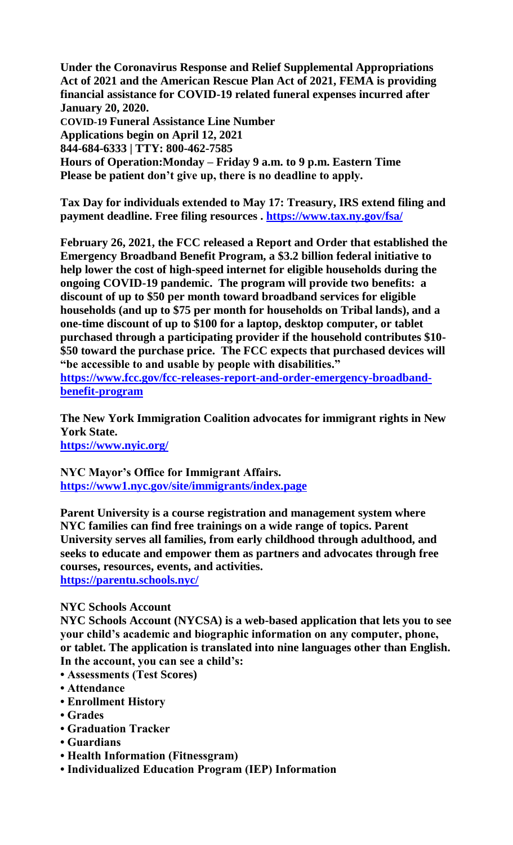**Under the Coronavirus Response and Relief Supplemental Appropriations Act of 2021 and the American Rescue Plan Act of 2021, FEMA is providing financial assistance for COVID-19 related funeral expenses incurred after January 20, 2020. COVID-19 Funeral Assistance Line Number**

**Applications begin on April 12, 2021 844-684-6333 | TTY: 800-462-7585 Hours of Operation:Monday – Friday 9 a.m. to 9 p.m. Eastern Time Please be patient don't give up, there is no deadline to apply.**

**Tax Day for individuals extended to May 17: Treasury, IRS extend filing and payment deadline. Free filing resources .<https://www.tax.ny.gov/fsa/>**

**February 26, 2021, the FCC released a Report and Order that established the Emergency Broadband Benefit Program, a \$3.2 billion federal initiative to help lower the cost of high-speed internet for eligible households during the ongoing COVID-19 pandemic. The program will provide two benefits: a discount of up to \$50 per month toward broadband services for eligible households (and up to \$75 per month for households on Tribal lands), and a one-time discount of up to \$100 for a laptop, desktop computer, or tablet purchased through a participating provider if the household contributes \$10- \$50 toward the purchase price. The FCC expects that purchased devices will "be accessible to and usable by people with disabilities."**

**[https://www.fcc.gov/fcc-releases-report-and-order-emergency-broadband](https://www.fcc.gov/fcc-releases-report-and-order-emergency-broadband-benefit-program)[benefit-program](https://www.fcc.gov/fcc-releases-report-and-order-emergency-broadband-benefit-program)**

**The New York Immigration Coalition advocates for immigrant rights in New York State. <https://www.nyic.org/>**

**NYC Mayor's Office for Immigrant Affairs. <https://www1.nyc.gov/site/immigrants/index.page>**

**Parent University is a course registration and management system where NYC families can find free trainings on a wide range of topics. Parent University serves all families, from early childhood through adulthood, and seeks to educate and empower them as partners and advocates through free courses, resources, events, and activities. <https://parentu.schools.nyc/>**

## **NYC Schools Account**

**NYC Schools Account (NYCSA) is a web-based application that lets you to see your child's academic and biographic information on any computer, phone, or tablet. The application is translated into nine languages other than English. In the account, you can see a child's:**

- **Assessments (Test Scores)**
- **Attendance**
- **Enrollment History**
- **Grades**
- **Graduation Tracker**
- **Guardians**
- **Health Information (Fitnessgram)**
- **Individualized Education Program (IEP) Information**